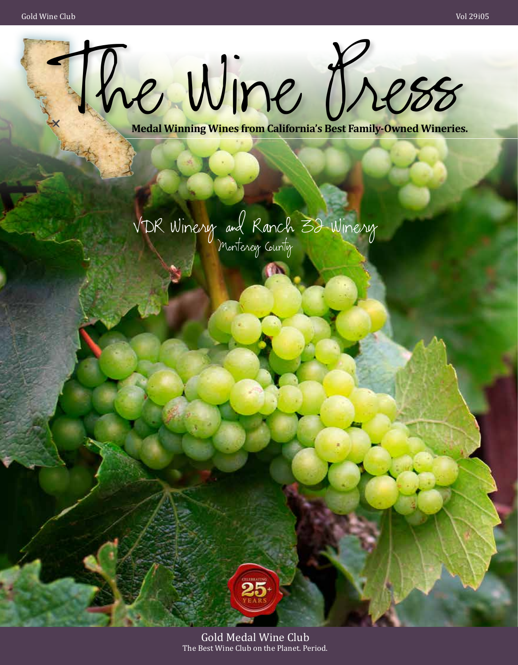

VDR Winery and Ranch 32 Winery Monterey County

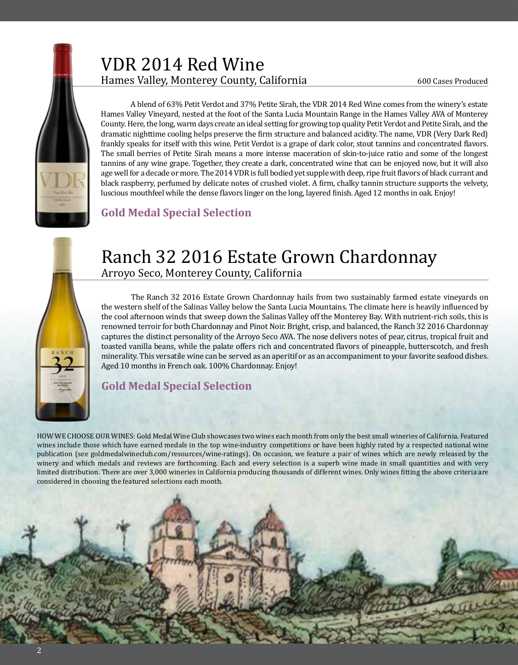

## VDR 2014 Red Wine Hames Valley, Monterey County, California

600 Cases Produced



A blend of 63% Petit Verdot and 37% Petite Sirah, the VDR 2014 Red Wine comes from the winery's estate Hames Valley Vineyard, nested at the foot of the Santa Lucia Mountain Range in the Hames Valley AVA of Monterey County. Here, the long, warm days create an ideal setting for growing top quality Petit Verdot and Petite Sirah, and the dramatic nighttime cooling helps preserve the firm structure and balanced acidity. The name, VDR (Very Dark Red) frankly speaks for itself with this wine. Petit Verdot is a grape of dark color, stout tannins and concentrated flavors. The small berries of Petite Sirah means a more intense maceration of skin-to-juice ratio and some of the longest tannins of any wine grape. Together, they create a dark, concentrated wine that can be enjoyed now, but it will also age well for a decade or more. The 2014 VDR is full bodied yet supple with deep, ripe fruit flavors of black currant and black raspberry, perfumed by delicate notes of crushed violet. A firm, chalky tannin structure supports the velvety, luscious mouthfeel while the dense flavors linger on the long, layered finish. Aged 12 months in oak. Enjoy!

#### **Gold Medal Special Selection**

### Ranch 32 2016 Estate Grown Chardonnay Arroyo Seco, Monterey County, California

The Ranch 32 2016 Estate Grown Chardonnay hails from two sustainably farmed estate vineyards on the western shelf of the Salinas Valley below the Santa Lucia Mountains. The climate here is heavily influenced by the cool afternoon winds that sweep down the Salinas Valley off the Monterey Bay. With nutrient-rich soils, this is renowned terroir for both Chardonnay and Pinot Noir. Bright, crisp, and balanced, the Ranch 32 2016 Chardonnay captures the distinct personality of the Arroyo Seco AVA. The nose delivers notes of pear, citrus, tropical fruit and toasted vanilla beans, while the palate offers rich and concentrated flavors of pineapple, butterscotch, and fresh minerality. This versatile wine can be served as an aperitif or as an accompaniment to your favorite seafood dishes. Aged 10 months in French oak. 100% Chardonnay. Enjoy!

#### **Gold Medal Special Selection**

HOW WE CHOOSE OUR WINES: Gold Medal Wine Club showcases two wines each month from only the best small wineries of California. Featured wines include those which have earned medals in the top wine-industry competitions or have been highly rated by a respected national wine publication (see goldmedalwineclub.com/resources/wine-ratings). On occasion, we feature a pair of wines which are newly released by the winery and which medals and reviews are forthcoming. Each and every selection is a superb wine made in small quantities and with very limited distribution. There are over 3,000 wineries in California producing thousands of different wines. Only wines fitting the above criteria are considered in choosing the featured selections each month.

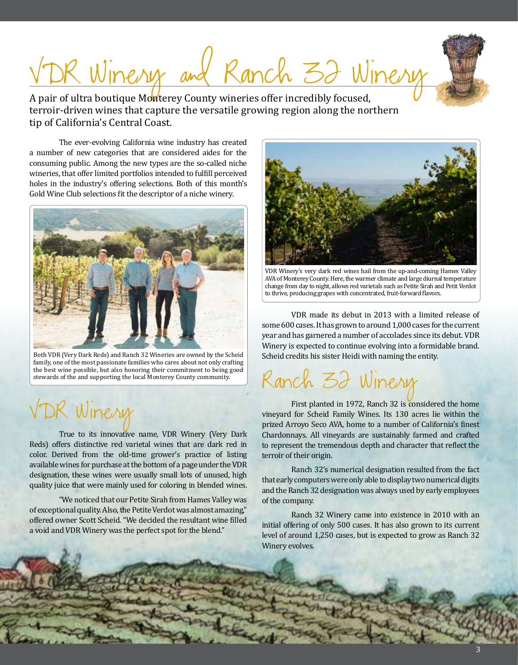# DR Winery and Ranch 32 Winery

A pair of ultra boutique Monterey County wineries offer incredibly focused, terroir-driven wines that capture the versatile growing region along the northern tip of California's Central Coast.

The ever-evolving California wine industry has created a number of new categories that are considered aides for the consuming public. Among the new types are the so-called niche wineries, that offer limited portfolios intended to fulfill perceived holes in the industry's offering selections. Both of this month's Gold Wine Club selections fit the descriptor of a niche winery.



Both VDR (Very Dark Reds) and Ranch 32 Wineries are owned by the Scheid family, one of the most passionate families who cares about not only crafting the best wine possible, but also honoring their commitment to being good stewards of the and supporting the local Monterey County community.

# 2 Winery

True to its innovative name, VDR Winery (Very Dark Reds) offers distinctive red varietal wines that are dark red in color. Derived from the old-time grower's practice of listing available wines for purchase at the bottom of a page under the VDR designation, these wines were usually small lots of unused, high quality juice that were mainly used for coloring in blended wines.

"We noticed that our Petite Sirah from Hames Valley was of exceptional quality. Also, the Petite Verdot was almost amazing," offered owner Scott Scheid. "We decided the resultant wine filled a void and VDR Winery was the perfect spot for the blend."



VDR Winery's very dark red wines hail from the up-and-coming Hames Valley AVA of Monterey County. Here, the warmer climate and large diurnal temperature change from day to night, allows red varietals such as Petite Sirah and Petit Verdot to thrive, producing grapes with concentrated, fruit-forward flavors.

VDR made its debut in 2013 with a limited release of some 600 cases. It has grown to around 1,000 cases for the current year and has garnered a number of accolades since its debut. VDR Winery is expected to continue evolving into a formidable brand. Scheid credits his sister Heidi with naming the entity.

Ranch 32 Winery

First planted in 1972, Ranch 32 is considered the home vineyard for Scheid Family Wines. Its 130 acres lie within the prized Arroyo Seco AVA, home to a number of California's finest Chardonnays. All vineyards are sustainably farmed and crafted to represent the tremendous depth and character that reflect the terroir of their origin.

Ranch 32's numerical designation resulted from the fact that early computers were only able to display two numerical digits and the Ranch 32 designation was always used by early employees of the company.

Ranch 32 Winery came into existence in 2010 with an initial offering of only 500 cases. It has also grown to its current level of around 1,250 cases, but is expected to grow as Ranch 32 Winery evolves.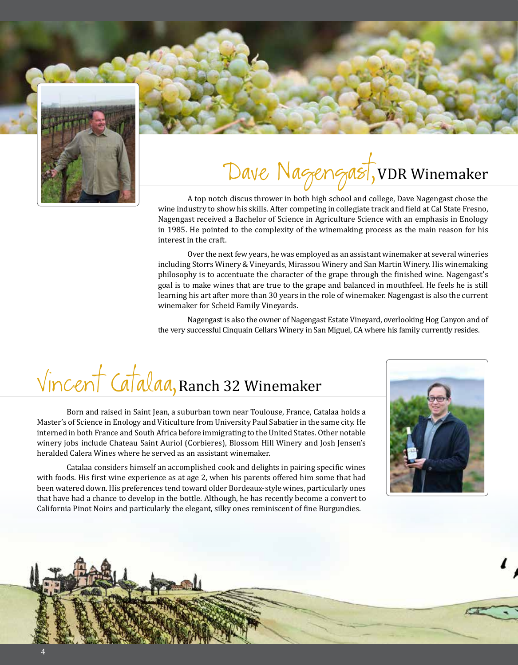

# Dave Nagengast, VDR Winemaker

A top notch discus thrower in both high school and college, Dave Nagengast chose the wine industry to show his skills. After competing in collegiate track and field at Cal State Fresno, Nagengast received a Bachelor of Science in Agriculture Science with an emphasis in Enology in 1985. He pointed to the complexity of the winemaking process as the main reason for his interest in the craft.

Over the next few years, he was employed as an assistant winemaker at several wineries including Storrs Winery & Vineyards, Mirassou Winery and San Martin Winery. His winemaking philosophy is to accentuate the character of the grape through the finished wine. Nagengast's goal is to make wines that are true to the grape and balanced in mouthfeel. He feels he is still learning his art after more than 30 years in the role of winemaker. Nagengast is also the current winemaker for Scheid Family Vineyards.

Nagengast is also the owner of Nagengast Estate Vineyard, overlooking Hog Canyon and of the very successful Cinquain Cellars Winery in San Miguel, CA where his family currently resides.

# Vincent Catalaa,Ranch 32 Winemaker

Born and raised in Saint Jean, a suburban town near Toulouse, France, Catalaa holds a Master's of Science in Enology and Viticulture from University Paul Sabatier in the same city. He interned in both France and South Africa before immigrating to the United States. Other notable winery jobs include Chateau Saint Auriol (Corbieres), Blossom Hill Winery and Josh Jensen's heralded Calera Wines where he served as an assistant winemaker.

Catalaa considers himself an accomplished cook and delights in pairing specific wines with foods. His first wine experience as at age 2, when his parents offered him some that had been watered down. His preferences tend toward older Bordeaux-style wines, particularly ones that have had a chance to develop in the bottle. Although, he has recently become a convert to California Pinot Noirs and particularly the elegant, silky ones reminiscent of fine Burgundies.



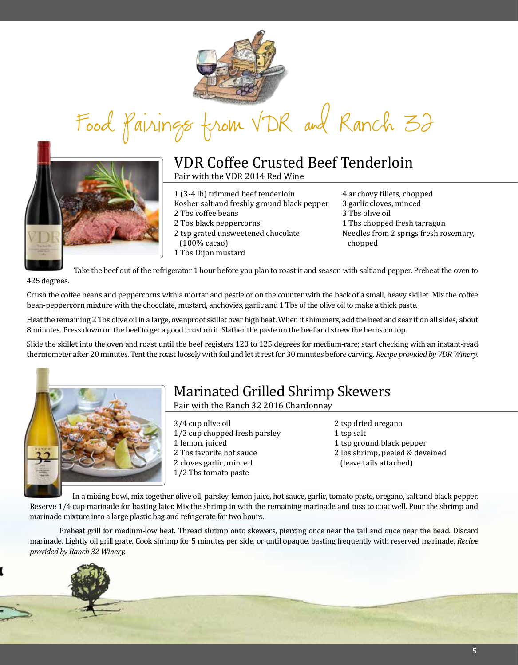

Food Pairings from VDR and Ranch 32



#### VDR Coffee Crusted Beef Tenderloin Pair with the VDR 2014 Red Wine

1 (3-4 lb) trimmed beef tenderloin

- Kosher salt and freshly ground black pepper
- 2 Tbs coffee beans
- 2 Tbs black peppercorns
- 2 tsp grated unsweetened chocolate (100% cacao)
- 1 Tbs Dijon mustard

4 anchovy fillets, chopped 3 garlic cloves, minced 3 Tbs olive oil 1 Tbs chopped fresh tarragon Needles from 2 sprigs fresh rosemary, chopped

Take the beef out of the refrigerator 1 hour before you plan to roast it and season with salt and pepper. Preheat the oven to 425 degrees.

Crush the coffee beans and peppercorns with a mortar and pestle or on the counter with the back of a small, heavy skillet. Mix the coffee bean-peppercorn mixture with the chocolate, mustard, anchovies, garlic and 1 Tbs of the olive oil to make a thick paste.

Heat the remaining 2 Tbs olive oil in a large, ovenproof skillet over high heat. When it shimmers, add the beef and sear it on all sides, about 8 minutes. Press down on the beef to get a good crust on it. Slather the paste on the beef and strew the herbs on top.

Slide the skillet into the oven and roast until the beef registers 120 to 125 degrees for medium-rare; start checking with an instant-read thermometer after 20 minutes. Tent the roast loosely with foil and let it rest for 30 minutes before carving. *Recipe provided by VDR Winery.* 



## Marinated Grilled Shrimp Skewers

Pair with the Ranch 32 2016 Chardonnay

- 3/4 cup olive oil 1/3 cup chopped fresh parsley 1 lemon, juiced 2 Tbs favorite hot sauce 2 cloves garlic, minced 1/2 Tbs tomato paste
- 2 tsp dried oregano 1 tsp salt 1 tsp ground black pepper
- 2 lbs shrimp, peeled & deveined (leave tails attached)

In a mixing bowl, mix together olive oil, parsley, lemon juice, hot sauce, garlic, tomato paste, oregano, salt and black pepper. Reserve 1/4 cup marinade for basting later. Mix the shrimp in with the remaining marinade and toss to coat well. Pour the shrimp and marinade mixture into a large plastic bag and refrigerate for two hours.

Preheat grill for medium-low heat. Thread shrimp onto skewers, piercing once near the tail and once near the head. Discard marinade. Lightly oil grill grate. Cook shrimp for 5 minutes per side, or until opaque, basting frequently with reserved marinade. *Recipe provided by Ranch 32 Winery.* 

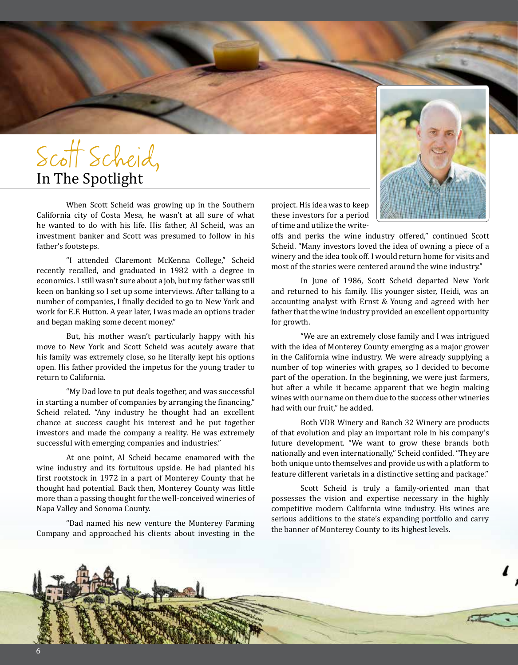# Scott Scheid, In The Spotlight

When Scott Scheid was growing up in the Southern California city of Costa Mesa, he wasn't at all sure of what he wanted to do with his life. His father, Al Scheid, was an investment banker and Scott was presumed to follow in his father's footsteps.

"I attended Claremont McKenna College," Scheid recently recalled, and graduated in 1982 with a degree in economics. I still wasn't sure about a job, but my father was still keen on banking so I set up some interviews. After talking to a number of companies, I finally decided to go to New York and work for E.F. Hutton. A year later, I was made an options trader and began making some decent money."

But, his mother wasn't particularly happy with his move to New York and Scott Scheid was acutely aware that his family was extremely close, so he literally kept his options open. His father provided the impetus for the young trader to return to California.

"My Dad love to put deals together, and was successful in starting a number of companies by arranging the financing," Scheid related. "Any industry he thought had an excellent chance at success caught his interest and he put together investors and made the company a reality. He was extremely successful with emerging companies and industries."

At one point, Al Scheid became enamored with the wine industry and its fortuitous upside. He had planted his first rootstock in 1972 in a part of Monterey County that he thought had potential. Back then, Monterey County was little more than a passing thought for the well-conceived wineries of Napa Valley and Sonoma County.

"Dad named his new venture the Monterey Farming Company and approached his clients about investing in the

project. His idea was to keep these investors for a period of time and utilize the write-

offs and perks the wine industry offered," continued Scott Scheid. "Many investors loved the idea of owning a piece of a winery and the idea took off. I would return home for visits and most of the stories were centered around the wine industry."

In June of 1986, Scott Scheid departed New York and returned to his family. His younger sister, Heidi, was an accounting analyst with Ernst & Young and agreed with her father that the wine industry provided an excellent opportunity for growth.

"We are an extremely close family and I was intrigued with the idea of Monterey County emerging as a major grower in the California wine industry. We were already supplying a number of top wineries with grapes, so I decided to become part of the operation. In the beginning, we were just farmers, but after a while it became apparent that we begin making wines with our name on them due to the success other wineries had with our fruit," he added.

Both VDR Winery and Ranch 32 Winery are products of that evolution and play an important role in his company's future development. "We want to grow these brands both nationally and even internationally," Scheid confided. "They are both unique unto themselves and provide us with a platform to feature different varietals in a distinctive setting and package."

Scott Scheid is truly a family-oriented man that possesses the vision and expertise necessary in the highly competitive modern California wine industry. His wines are serious additions to the state's expanding portfolio and carry the banner of Monterey County to its highest levels.



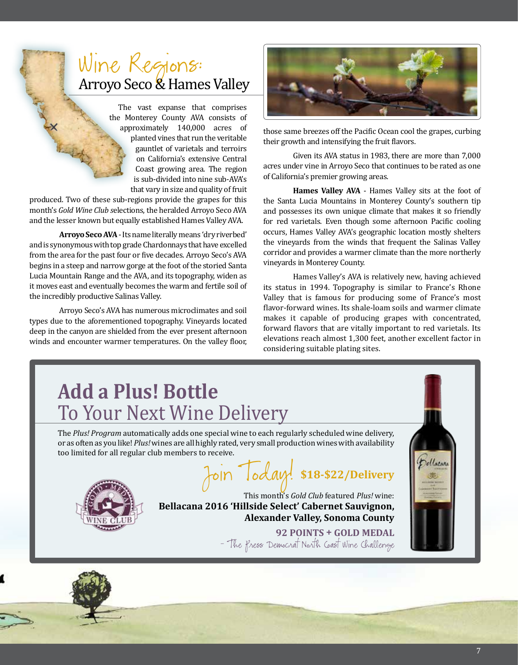# Wine Regions: Arroyo Seco & Hames Valley

The vast expanse that comprises the Monterey County AVA consists of approximately 140,000 acres of planted vines that run the veritable gauntlet of varietals and terroirs on California's extensive Central Coast growing area. The region is sub-divided into nine sub-AVA's that vary in size and quality of fruit

produced. Two of these sub-regions provide the grapes for this month's *Gold Wine Club s*elections, the heralded Arroyo Seco AVA and the lesser known but equally established Hames Valley AVA.

**Arroyo Seco AVA** - Its name literally means 'dry riverbed' and is synonymous with top grade Chardonnays that have excelled from the area for the past four or five decades. Arroyo Seco's AVA begins in a steep and narrow gorge at the foot of the storied Santa Lucia Mountain Range and the AVA, and its topography, widen as it moves east and eventually becomes the warm and fertile soil of the incredibly productive Salinas Valley.

Arroyo Seco's AVA has numerous microclimates and soil types due to the aforementioned topography. Vineyards located deep in the canyon are shielded from the ever present afternoon winds and encounter warmer temperatures. On the valley floor,



those same breezes off the Pacific Ocean cool the grapes, curbing their growth and intensifying the fruit flavors.

Given its AVA status in 1983, there are more than 7,000 acres under vine in Arroyo Seco that continues to be rated as one of California's premier growing areas.

**Hames Valley AVA** - Hames Valley sits at the foot of the Santa Lucia Mountains in Monterey County's southern tip and possesses its own unique climate that makes it so friendly for red varietals. Even though some afternoon Pacific cooling occurs, Hames Valley AVA's geographic location mostly shelters the vineyards from the winds that frequent the Salinas Valley corridor and provides a warmer climate than the more northerly vineyards in Monterey County.

Hames Valley's AVA is relatively new, having achieved its status in 1994. Topography is similar to France's Rhone Valley that is famous for producing some of France's most flavor-forward wines. Its shale-loam soils and warmer climate makes it capable of producing grapes with concentrated, forward flavors that are vitally important to red varietals. Its elevations reach almost 1,300 feet, another excellent factor in considering suitable plating sites.

## **Add a Plus! Bottle**  To Your Next Wine Delivery The *Plus! Program* automatically adds one special wine to each regularly scheduled wine delivery, or as often as you like! *Plus!* wines are all highly rated, very small production wines with availability too limited for all regular club members to receive. Join Today! **\$18-\$22/Delivery** This month's *Gold Club* featured *Plus!* wine: **Bellacana 2016 'Hillside Select' Cabernet Sauvignon, Alexander Valley, Sonoma County 92 POINTS + GOLD MEDAL**  - The Press Democrat North Coast Wine Challenge